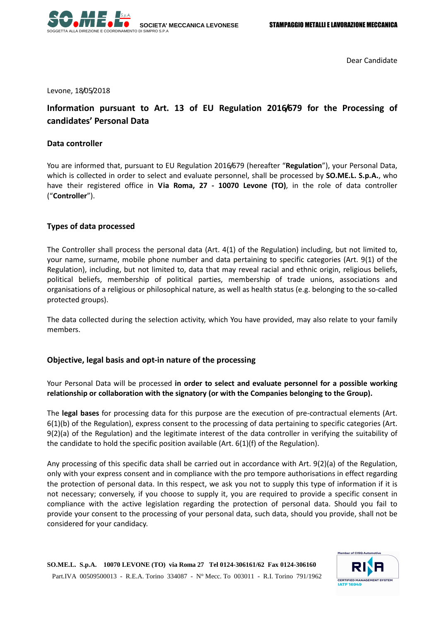

Dear Candidate

Levone, 18/05/2018

# **Information pursuant to Art. 13 of EU Regulation 2016/679 for the Processing of candidates' Personal Data**

### **Data controller**

You are informed that, pursuant to EU Regulation 2016/679 (hereafter "**Regulation**"), your Personal Data, which is collected in order to select and evaluate personnel, shall be processed by **SO.ME.L. S.p.A.**, who have their registered office in **Via Roma, 27 - 10070 Levone (TO)**, in the role of data controller ("**Controller**").

# **Types of data processed**

The Controller shall process the personal data (Art. 4(1) of the Regulation) including, but not limited to, your name, surname, mobile phone number and data pertaining to specific categories (Art. 9(1) of the Regulation), including, but not limited to, data that may reveal racial and ethnic origin, religious beliefs, political beliefs, membership of political parties, membership of trade unions, associations and organisations of a religious or philosophical nature, as well as health status (e.g. belonging to the so-called protected groups).

The data collected during the selection activity, which You have provided, may also relate to your family members.

# **Objective, legal basis and opt-in nature of the processing**

Your Personal Data will be processed **in order to select and evaluate personnel for a possible working relationship or collaboration with the signatory (or with the Companies belonging to the Group).** 

The **legal bases** for processing data for this purpose are the execution of pre-contractual elements (Art. 6(1)(b) of the Regulation), express consent to the processing of data pertaining to specific categories (Art. 9(2)(a) of the Regulation) and the legitimate interest of the data controller in verifying the suitability of the candidate to hold the specific position available (Art.  $6(1)(f)$  of the Regulation).

Any processing of this specific data shall be carried out in accordance with Art. 9(2)(a) of the Regulation, only with your express consent and in compliance with the pro tempore authorisations in effect regarding the protection of personal data. In this respect, we ask you not to supply this type of information if it is not necessary; conversely, if you choose to supply it, you are required to provide a specific consent in compliance with the active legislation regarding the protection of personal data. Should you fail to provide your consent to the processing of your personal data, such data, should you provide, shall not be considered for your candidacy.

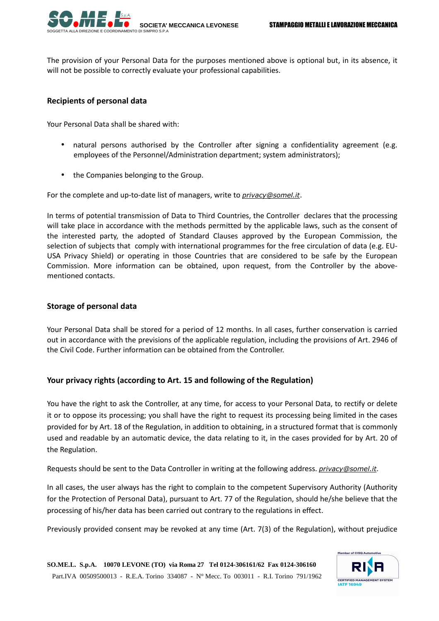

The provision of your Personal Data for the purposes mentioned above is optional but, in its absence, it will not be possible to correctly evaluate your professional capabilities.

### **Recipients of personal data**

Your Personal Data shall be shared with:

- natural persons authorised by the Controller after signing a confidentiality agreement (e.g. employees of the Personnel/Administration department; system administrators);
- the Companies belonging to the Group.

For the complete and up-to-date list of managers, write to *privacy@somel.it*.

In terms of potential transmission of Data to Third Countries, the Controller declares that the processing will take place in accordance with the methods permitted by the applicable laws, such as the consent of the interested party, the adopted of Standard Clauses approved by the European Commission, the selection of subjects that comply with international programmes for the free circulation of data (e.g. EU-USA Privacy Shield) or operating in those Countries that are considered to be safe by the European Commission. More information can be obtained, upon request, from the Controller by the abovementioned contacts.

### **Storage of personal data**

Your Personal Data shall be stored for a period of 12 months. In all cases, further conservation is carried out in accordance with the previsions of the applicable regulation, including the provisions of Art. 2946 of the Civil Code. Further information can be obtained from the Controller.

# **Your privacy rights (according to Art. 15 and following of the Regulation)**

You have the right to ask the Controller, at any time, for access to your Personal Data, to rectify or delete it or to oppose its processing; you shall have the right to request its processing being limited in the cases provided for by Art. 18 of the Regulation, in addition to obtaining, in a structured format that is commonly used and readable by an automatic device, the data relating to it, in the cases provided for by Art. 20 of the Regulation.

Requests should be sent to the Data Controller in writing at the following address. *privacy@somel.it*.

In all cases, the user always has the right to complain to the competent Supervisory Authority (Authority for the Protection of Personal Data), pursuant to Art. 77 of the Regulation, should he/she believe that the processing of his/her data has been carried out contrary to the regulations in effect.

Previously provided consent may be revoked at any time (Art. 7(3) of the Regulation), without prejudice